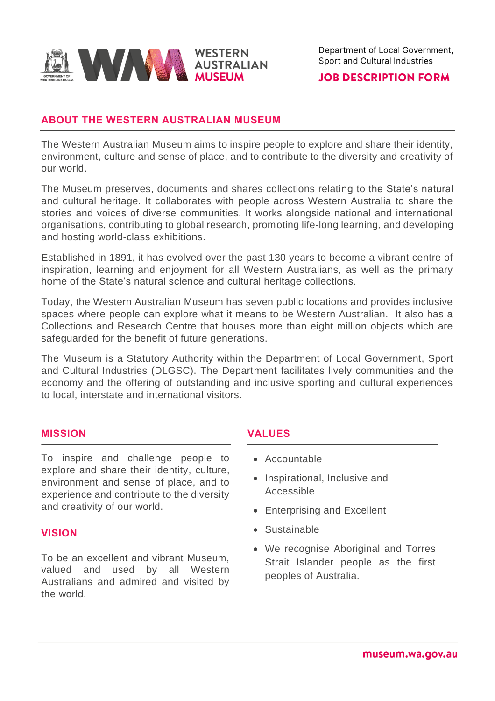

## **JOB DESCRIPTION FORM**

# **ABOUT THE WESTERN AUSTRALIAN MUSEUM**

The Western Australian Museum aims to inspire people to explore and share their identity, environment, culture and sense of place, and to contribute to the diversity and creativity of our world.

The Museum preserves, documents and shares collections relating to the State's natural and cultural heritage. It collaborates with people across Western Australia to share the stories and voices of diverse communities. It works alongside national and international organisations, contributing to global research, promoting life-long learning, and developing and hosting world-class exhibitions.

Established in 1891, it has evolved over the past 130 years to become a vibrant centre of inspiration, learning and enjoyment for all Western Australians, as well as the primary home of the State's natural science and cultural heritage collections.

Today, the Western Australian Museum has seven public locations and provides inclusive spaces where people can explore what it means to be Western Australian. It also has a Collections and Research Centre that houses more than eight million objects which are safeguarded for the benefit of future generations.

The Museum is a Statutory Authority within the Department of Local Government, Sport and Cultural Industries (DLGSC). The Department facilitates lively communities and the economy and the offering of outstanding and inclusive sporting and cultural experiences to local, interstate and international visitors.

### **MISSION**

To inspire and challenge people to explore and share their identity, culture, environment and sense of place, and to experience and contribute to the diversity and creativity of our world.

#### **VISION**

To be an excellent and vibrant Museum, valued and used by all Western Australians and admired and visited by the world.

## **VALUES**

- Accountable
- Inspirational, Inclusive and Accessible
- Enterprising and Excellent
- Sustainable
- We recognise Aboriginal and Torres Strait Islander people as the first peoples of Australia.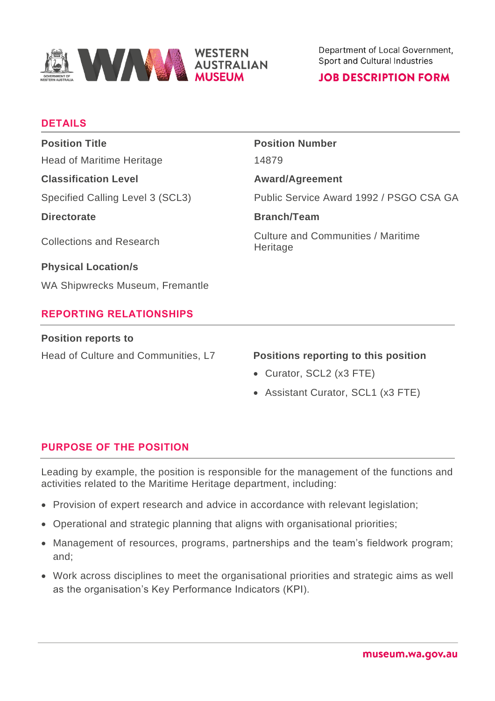

# **JOB DESCRIPTION FORM**

# **DETAILS**

| <b>Position Title</b>            | <b>Position Number</b>                                |
|----------------------------------|-------------------------------------------------------|
| <b>Head of Maritime Heritage</b> | 14879                                                 |
| <b>Classification Level</b>      | <b>Award/Agreement</b>                                |
| Specified Calling Level 3 (SCL3) | Public Service Award 1992 / PSGO CSA GA               |
| <b>Directorate</b>               | <b>Branch/Team</b>                                    |
| <b>Collections and Research</b>  | <b>Culture and Communities / Maritime</b><br>Heritage |
| <b>Physical Location/s</b>       |                                                       |
| WA Shipwrecks Museum, Fremantle  |                                                       |
| <b>REPORTING RELATIONSHIPS</b>   |                                                       |
|                                  |                                                       |

#### **Position reports to**

Head of Culture and Communities, L7 **Positions reporting to this position**

- Curator, SCL2 (x3 FTE)
- Assistant Curator, SCL1 (x3 FTE)

# **PURPOSE OF THE POSITION**

Leading by example, the position is responsible for the management of the functions and activities related to the Maritime Heritage department, including:

- Provision of expert research and advice in accordance with relevant legislation;
- Operational and strategic planning that aligns with organisational priorities;
- Management of resources, programs, partnerships and the team's fieldwork program; and;
- Work across disciplines to meet the organisational priorities and strategic aims as well as the organisation's Key Performance Indicators (KPI).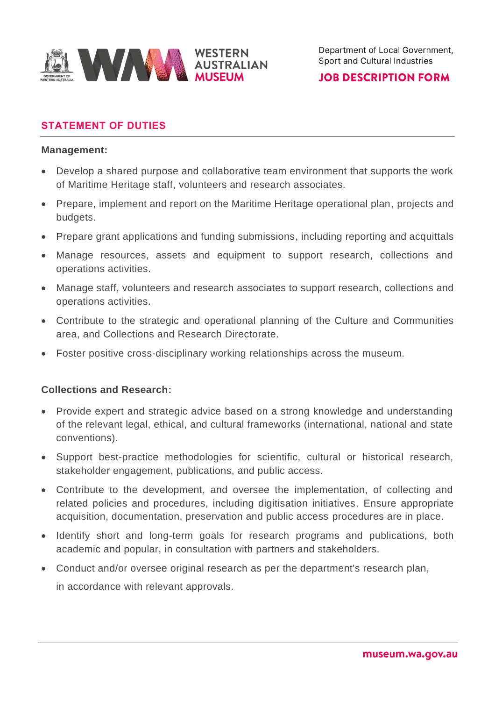

# **JOB DESCRIPTION FORM**

# **STATEMENT OF DUTIES**

#### **Management:**

- Develop a shared purpose and collaborative team environment that supports the work of Maritime Heritage staff, volunteers and research associates.
- Prepare, implement and report on the Maritime Heritage operational plan, projects and budgets.
- Prepare grant applications and funding submissions, including reporting and acquittals
- Manage resources, assets and equipment to support research, collections and operations activities.
- Manage staff, volunteers and research associates to support research, collections and operations activities.
- Contribute to the strategic and operational planning of the Culture and Communities area, and Collections and Research Directorate.
- Foster positive cross-disciplinary working relationships across the museum.

## **Collections and Research:**

- Provide expert and strategic advice based on a strong knowledge and understanding of the relevant legal, ethical, and cultural frameworks (international, national and state conventions).
- Support best-practice methodologies for scientific, cultural or historical research, stakeholder engagement, publications, and public access.
- Contribute to the development, and oversee the implementation, of collecting and related policies and procedures, including digitisation initiatives. Ensure appropriate acquisition, documentation, preservation and public access procedures are in place.
- Identify short and long-term goals for research programs and publications, both academic and popular, in consultation with partners and stakeholders.
- Conduct and/or oversee original research as per the department's research plan, in accordance with relevant approvals.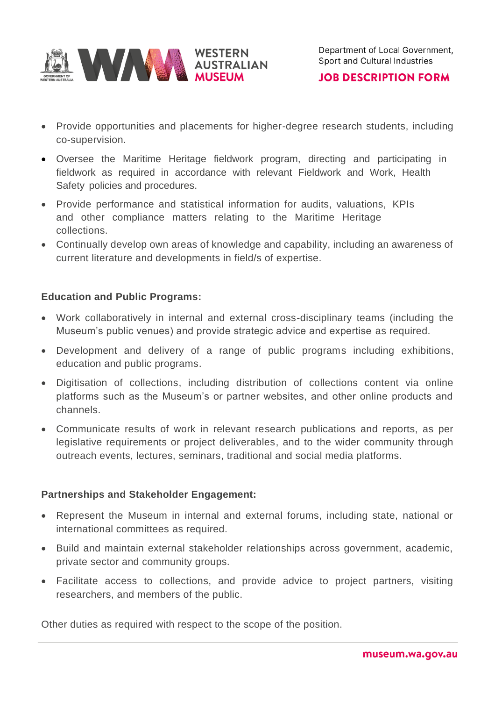

**JOB DESCRIPTION FORM** 

- Provide opportunities and placements for higher-degree research students, including co-supervision.
- Oversee the Maritime Heritage fieldwork program, directing and participating in fieldwork as required in accordance with relevant Fieldwork and Work, Health Safety policies and procedures.
- Provide performance and statistical information for audits, valuations, KPIs and other compliance matters relating to the Maritime Heritage collections.
- Continually develop own areas of knowledge and capability, including an awareness of current literature and developments in field/s of expertise.

## **Education and Public Programs:**

- Work collaboratively in internal and external cross-disciplinary teams (including the Museum's public venues) and provide strategic advice and expertise as required.
- Development and delivery of a range of public programs including exhibitions, education and public programs.
- Digitisation of collections, including distribution of collections content via online platforms such as the Museum's or partner websites, and other online products and channels.
- Communicate results of work in relevant research publications and reports, as per legislative requirements or project deliverables, and to the wider community through outreach events, lectures, seminars, traditional and social media platforms.

#### **Partnerships and Stakeholder Engagement:**

- Represent the Museum in internal and external forums, including state, national or international committees as required.
- Build and maintain external stakeholder relationships across government, academic, private sector and community groups.
- Facilitate access to collections, and provide advice to project partners, visiting researchers, and members of the public.

Other duties as required with respect to the scope of the position.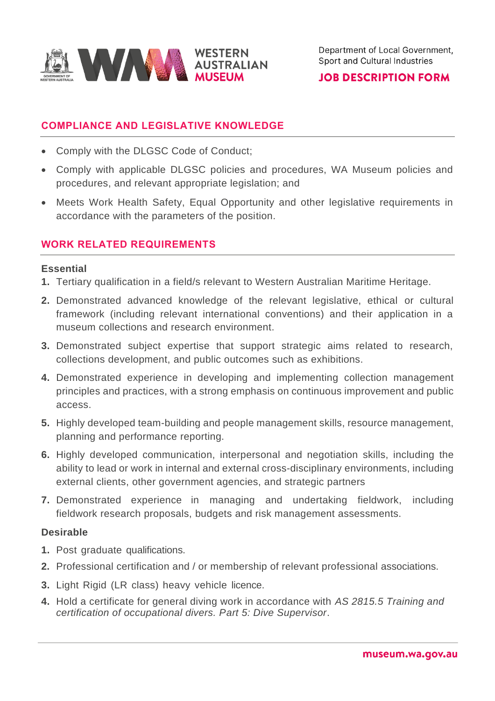

# **JOB DESCRIPTION FORM**

# **COMPLIANCE AND LEGISLATIVE KNOWLEDGE**

- Comply with the DLGSC Code of Conduct;
- Comply with applicable DLGSC policies and procedures, WA Museum policies and procedures, and relevant appropriate legislation; and
- Meets Work Health Safety, Equal Opportunity and other legislative requirements in accordance with the parameters of the position.

# **WORK RELATED REQUIREMENTS**

#### **Essential**

- **1.** Tertiary qualification in a field/s relevant to Western Australian Maritime Heritage.
- **2.** Demonstrated advanced knowledge of the relevant legislative, ethical or cultural framework (including relevant international conventions) and their application in a museum collections and research environment.
- **3.** Demonstrated subject expertise that support strategic aims related to research, collections development, and public outcomes such as exhibitions.
- **4.** Demonstrated experience in developing and implementing collection management principles and practices, with a strong emphasis on continuous improvement and public access.
- **5.** Highly developed team-building and people management skills, resource management, planning and performance reporting.
- **6.** Highly developed communication, interpersonal and negotiation skills, including the ability to lead or work in internal and external cross-disciplinary environments, including external clients, other government agencies, and strategic partners
- **7.** Demonstrated experience in managing and undertaking fieldwork, including fieldwork research proposals, budgets and risk management assessments.

## **Desirable**

- **1.** Post graduate qualifications.
- **2.** Professional certification and / or membership of relevant professional associations.
- **3.** Light Rigid (LR class) heavy vehicle licence.
- **4.** Hold a certificate for general diving work in accordance with *AS 2815.5 Training and certification of occupational divers. Part 5: Dive Supervisor*.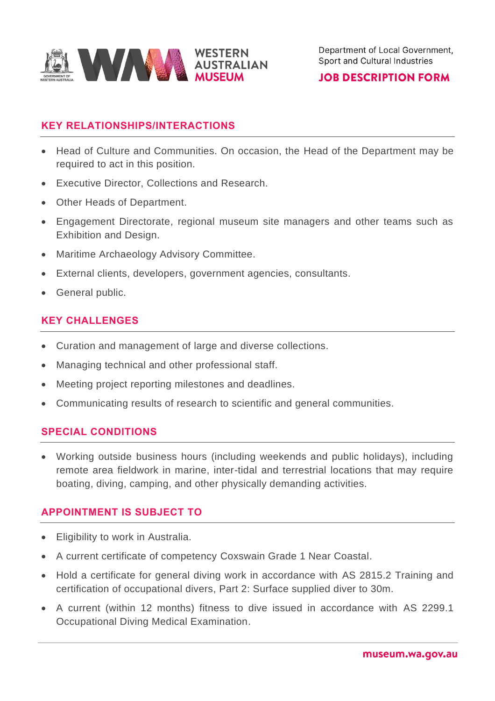

## **JOB DESCRIPTION FORM**

# **KEY RELATIONSHIPS/INTERACTIONS**

- Head of Culture and Communities. On occasion, the Head of the Department may be required to act in this position.
- Executive Director, Collections and Research.
- Other Heads of Department.
- Engagement Directorate, regional museum site managers and other teams such as Exhibition and Design.
- Maritime Archaeology Advisory Committee.
- External clients, developers, government agencies, consultants.
- General public.

# **KEY CHALLENGES**

- Curation and management of large and diverse collections.
- Managing technical and other professional staff.
- Meeting project reporting milestones and deadlines.
- Communicating results of research to scientific and general communities.

## **SPECIAL CONDITIONS**

• Working outside business hours (including weekends and public holidays), including remote area fieldwork in marine, inter-tidal and terrestrial locations that may require boating, diving, camping, and other physically demanding activities.

## **APPOINTMENT IS SUBJECT TO**

- Eligibility to work in Australia.
- A current certificate of competency Coxswain Grade 1 Near Coastal.
- Hold a certificate for general diving work in accordance with AS 2815.2 Training and certification of occupational divers, Part 2: Surface supplied diver to 30m.
- A current (within 12 months) fitness to dive issued in accordance with AS 2299.1 Occupational Diving Medical Examination.